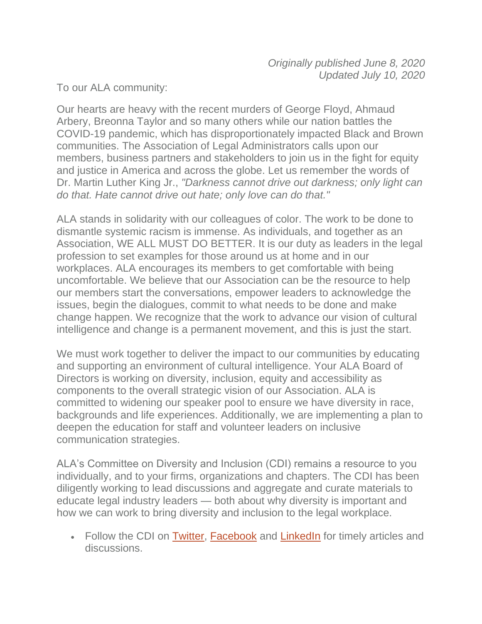To our ALA community:

Our hearts are heavy with the recent murders of George Floyd, Ahmaud Arbery, Breonna Taylor and so many others while our nation battles the COVID-19 pandemic, which has disproportionately impacted Black and Brown communities. The Association of Legal Administrators calls upon our members, business partners and stakeholders to join us in the fight for equity and justice in America and across the globe. Let us remember the words of Dr. Martin Luther King Jr., *"Darkness cannot drive out darkness; only light can do that. Hate cannot drive out hate; only love can do that."*

ALA stands in solidarity with our colleagues of color. The work to be done to dismantle systemic racism is immense. As individuals, and together as an Association, WE ALL MUST DO BETTER. It is our duty as leaders in the legal profession to set examples for those around us at home and in our workplaces. ALA encourages its members to get comfortable with being uncomfortable. We believe that our Association can be the resource to help our members start the conversations, empower leaders to acknowledge the issues, begin the dialogues, commit to what needs to be done and make change happen. We recognize that the work to advance our vision of cultural intelligence and change is a permanent movement, and this is just the start.

We must work together to deliver the impact to our communities by educating and supporting an environment of cultural intelligence. Your ALA Board of Directors is working on diversity, inclusion, equity and accessibility as components to the overall strategic vision of our Association. ALA is committed to widening our speaker pool to ensure we have diversity in race, backgrounds and life experiences. Additionally, we are implementing a plan to deepen the education for staff and volunteer leaders on inclusive communication strategies.

ALA's Committee on Diversity and Inclusion (CDI) remains a resource to you individually, and to your firms, organizations and chapters. The CDI has been diligently working to lead discussions and aggregate and curate materials to educate legal industry leaders — both about why diversity is important and how we can work to bring diversity and inclusion to the legal workplace.

• Follow the CDI on [Twitter,](https://twitter.com/ALADiversity) [Facebook](https://www.facebook.com/ALAdiversity/) and [LinkedIn](https://www.linkedin.com/company/ala-diversity-and-inclusion/) for timely articles and discussions.